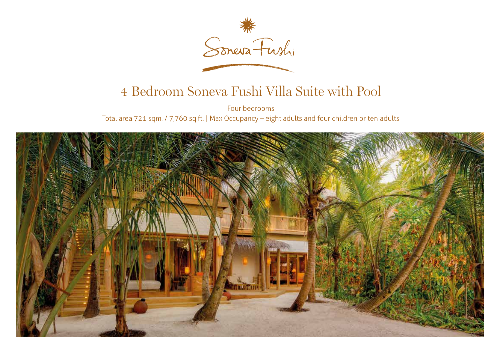

## 4 Bedroom Soneva Fushi Villa Suite with Pool

Four bedrooms Total area 721 sqm. / 7,760 sq.ft. | Max Occupancy – eight adults and four children or ten adults

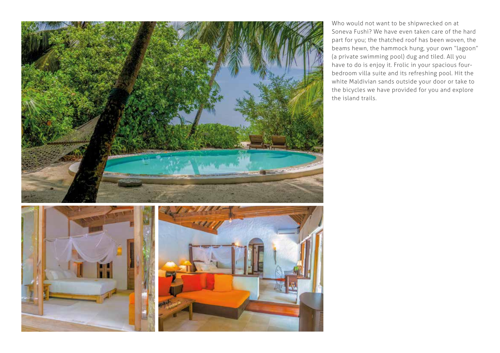

Who would not want to be shipwrecked on at Soneva Fushi? We have even taken care of the hard part for you; the thatched roof has been woven, the beams hewn, the hammock hung, your own "lagoon" (a private swimming pool) dug and tiled. All you have to do is enjoy it. Frolic in your spacious fourbedroom villa suite and its refreshing pool. Hit the white Maldivian sands outside your door or take to the bicycles we have provided for you and explore the island trails.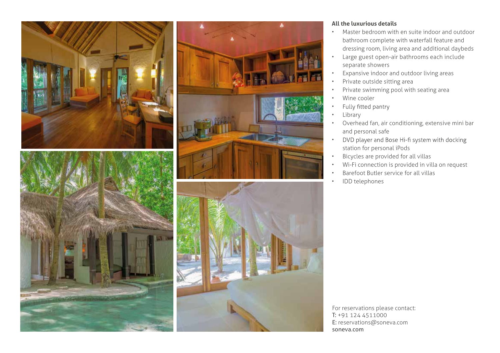





## **All the luxurious details**

- Master bedroom with en suite indoor and outdoor bathroom complete with waterfall feature and dressing room, living area and additional daybeds
- Large guest open-air bathrooms each include separate showers
- Expansive indoor and outdoor living areas
- Private outside sitting area
- Private swimming pool with seating area
- Wine cooler
- Fully fitted pantry •
- **Library**
- Overhead fan, air conditioning, extensive mini bar and personal safe
- DVD player and Bose Hi-fi system with docking • station for personal iPods
- Bicycles are provided for all villas
- Wi-Fi connection is provided in villa on request
- Barefoot Butler service for all villas
- IDD telephones

For reservations please contact: T: +91 124 4511000 E: reservations@soneva.com soneva.com